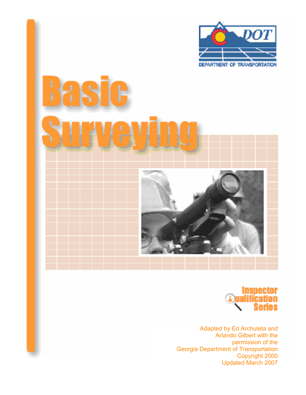





Adapted by Ed Archuleta and Arlando Gilbert with the permission of the Georgia Department of Transportation Copyright 2000 Updated March 2007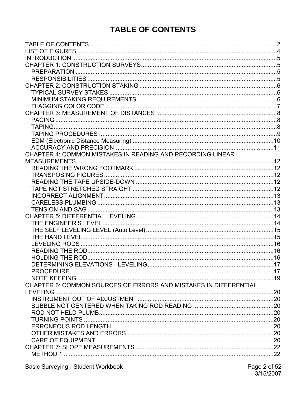# **TABLE OF CONTENTS**

<span id="page-1-0"></span>

| CHAPTER 4: COMMON MISTAKES IN READING AND RECORDING LINEAR       |  |
|------------------------------------------------------------------|--|
|                                                                  |  |
|                                                                  |  |
|                                                                  |  |
|                                                                  |  |
|                                                                  |  |
|                                                                  |  |
|                                                                  |  |
|                                                                  |  |
|                                                                  |  |
|                                                                  |  |
|                                                                  |  |
|                                                                  |  |
|                                                                  |  |
|                                                                  |  |
|                                                                  |  |
|                                                                  |  |
|                                                                  |  |
|                                                                  |  |
| CHAPTER 6: COMMON SOURCES OF ERRORS AND MISTAKES IN DIFFERENTIAL |  |
|                                                                  |  |
|                                                                  |  |
|                                                                  |  |
|                                                                  |  |
|                                                                  |  |
|                                                                  |  |
|                                                                  |  |
|                                                                  |  |
|                                                                  |  |
|                                                                  |  |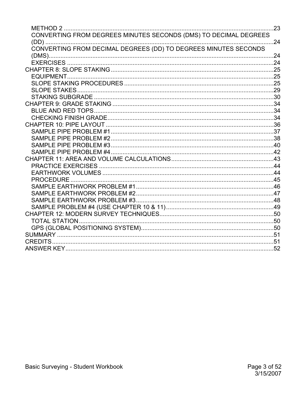| METHOD 2 …………………………………………………………………………………                         | .23 |
|------------------------------------------------------------------|-----|
| CONVERTING FROM DEGREES MINUTES SECONDS (DMS) TO DECIMAL DEGREES | 24  |
| CONVERTING FROM DECIMAL DEGREES (DD) TO DEGREES MINUTES SECONDS  |     |
|                                                                  | .24 |
|                                                                  |     |
|                                                                  |     |
|                                                                  |     |
|                                                                  |     |
|                                                                  |     |
|                                                                  |     |
|                                                                  |     |
|                                                                  |     |
|                                                                  |     |
|                                                                  |     |
|                                                                  |     |
|                                                                  |     |
|                                                                  |     |
|                                                                  |     |
|                                                                  |     |
|                                                                  |     |
|                                                                  |     |
|                                                                  |     |
|                                                                  |     |
|                                                                  |     |
|                                                                  |     |
|                                                                  |     |
|                                                                  |     |
|                                                                  |     |
|                                                                  |     |
|                                                                  |     |
| CREDITS                                                          |     |
|                                                                  |     |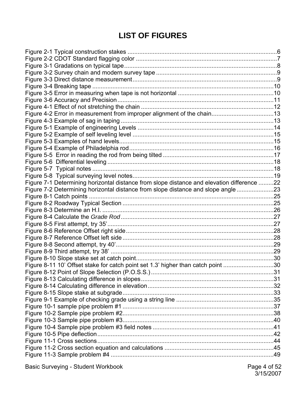# **LIST OF FIGURES**

<span id="page-3-0"></span>

| Figure 4-2 Error in measurement from improper alignment of the chain13                     |  |
|--------------------------------------------------------------------------------------------|--|
|                                                                                            |  |
|                                                                                            |  |
|                                                                                            |  |
|                                                                                            |  |
|                                                                                            |  |
|                                                                                            |  |
|                                                                                            |  |
|                                                                                            |  |
|                                                                                            |  |
| Figure 7-1 Determining horizontal distance from slope distance and elevation difference 22 |  |
| Figure 7-2 Determining horizontal distance from slope distance and slope angle 23          |  |
|                                                                                            |  |
|                                                                                            |  |
|                                                                                            |  |
|                                                                                            |  |
|                                                                                            |  |
|                                                                                            |  |
|                                                                                            |  |
|                                                                                            |  |
|                                                                                            |  |
|                                                                                            |  |
| Figure 8-11 10' Offset stake for catch point set 1.3' higher than catch point 30           |  |
|                                                                                            |  |
|                                                                                            |  |
|                                                                                            |  |
|                                                                                            |  |
|                                                                                            |  |
|                                                                                            |  |
|                                                                                            |  |
|                                                                                            |  |
|                                                                                            |  |
|                                                                                            |  |
|                                                                                            |  |
|                                                                                            |  |
|                                                                                            |  |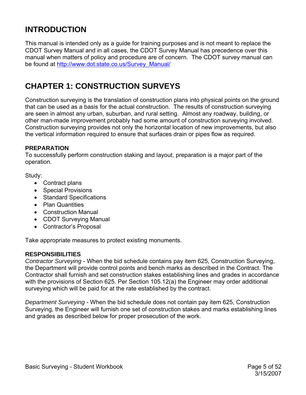# <span id="page-4-0"></span>**INTRODUCTION**

This manual is intended only as a guide for training purposes and is not meant to replace the CDOT Survey Manual and in all cases, the CDOT Survey Manual has precedence over this manual when matters of policy and procedure are of concern. The CDOT survey manual can be found at [http://www.dot.state.co.us/Survey\\_Manual/](http://www.dot.state.co.us/Survey_Manual/)

# **CHAPTER 1: CONSTRUCTION SURVEYS**

Construction surveying is the translation of construction plans into physical points on the ground that can be used as a basis for the actual construction. The results of construction surveying are seen in almost any urban, suburban, and rural setting. Almost any roadway, building, or other man-made improvement probably had some amount of construction surveying involved. Construction surveying provides not only the horizontal location of new improvements, but also the vertical information required to ensure that surfaces drain or pipes flow as required.

### **PREPARATION**

To successfully perform construction staking and layout, preparation is a major part of the operation.

Study:

- Contract plans
- Special Provisions
- Standard Specifications
- Plan Quantities
- Construction Manual
- CDOT Surveying Manual
- Contractor's Proposal

Take appropriate measures to protect existing monuments.

### **RESPONSIBILITIES**

*Contractor Surveying* - When the bid schedule contains pay item 625, Construction Surveying, the Department will provide control points and bench marks as described in the Contract. The Contractor shall furnish and set construction stakes establishing lines and grades in accordance with the provisions of Section 625. Per Section 105.12(a) the Engineer may order additional surveying which will be paid for at the rate established by the contract.

*Department Surveying* - When the bid schedule does not contain pay item 625, Construction Surveying, the Engineer will furnish one set of construction stakes and marks establishing lines and grades as described below for proper prosecution of the work.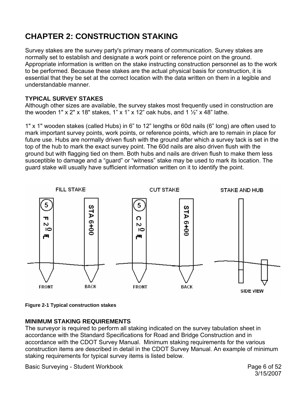# <span id="page-5-0"></span>**CHAPTER 2: CONSTRUCTION STAKING**

Survey stakes are the survey party's primary means of communication. Survey stakes are normally set to establish and designate a work point or reference point on the ground. Appropriate information is written on the stake instructing construction personnel as to the work to be performed. Because these stakes are the actual physical basis for construction, it is essential that they be set at the correct location with the data written on them in a legible and understandable manner.

## **TYPICAL SURVEY STAKES**

Although other sizes are available, the survey stakes most frequently used in construction are the wooden 1" x 2" x 18" stakes, 1" x 1" x 12" oak hubs, and 1  $\frac{1}{2}$ " x 48" lathe.

1" x 1" wooden stakes (called Hubs) in 6" to 12" lengths or 60d nails (6" long) are often used to mark important survey points, work points, or reference points, which are to remain in place for future use. Hubs are normally driven flush with the ground after which a survey tack is set in the top of the hub to mark the exact survey point. The 60d nails are also driven flush with the ground but with flagging tied on them. Both hubs and nails are driven flush to make them less susceptible to damage and a "guard" or "witness" stake may be used to mark its location. The guard stake will usually have sufficient information written on it to identify the point.



### **Figure 2-1 Typical construction stakes**

## **MINIMUM STAKING REQUIREMENTS**

The surveyor is required to perform all staking indicated on the survey tabulation sheet in accordance with the Standard Specifications for Road and Bridge Construction and in accordance with the CDOT Survey Manual. Minimum staking requirements for the various construction items are described in detail in the CDOT Survey Manual. An example of minimum staking requirements for typical survey items is listed below.

Basic Surveying - Student Workbook **Page 6 of 52** 

3/15/2007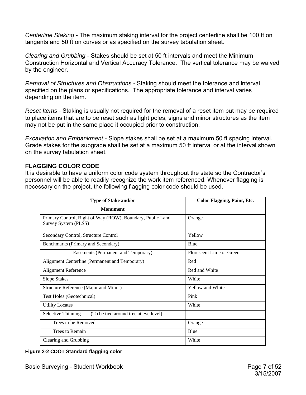<span id="page-6-0"></span>*Centerline Staking* - The maximum staking interval for the project centerline shall be 100 ft on tangents and 50 ft on curves or as specified on the survey tabulation sheet.

*Clearing and Grubbing* - Stakes should be set at 50 ft intervals and meet the Minimum Construction Horizontal and Vertical Accuracy Tolerance. The vertical tolerance may be waived by the engineer.

*Removal of Structures and Obstructions -* Staking should meet the tolerance and interval specified on the plans or specifications. The appropriate tolerance and interval varies depending on the item.

*Reset Items -* Staking is usually not required for the removal of a reset item but may be required to place items that are to be reset such as light poles, signs and minor structures as the item may not be put in the same place it occupied prior to construction.

*Excavation and Embankment -* Slope stakes shall be set at a maximum 50 ft spacing interval. Grade stakes for the subgrade shall be set at a maximum 50 ft interval or at the interval shown on the survey tabulation sheet.

### **FLAGGING COLOR CODE**

It is desirable to have a uniform color code system throughout the state so the Contractor's personnel will be able to readily recognize the work item referenced. Whenever flagging is necessary on the project, the following flagging color code should be used.

| <b>Type of Stake and/or</b>                                                        | <b>Color Flagging, Paint, Etc.</b> |
|------------------------------------------------------------------------------------|------------------------------------|
| <b>Monument</b>                                                                    |                                    |
| Primary Control, Right of Way (ROW), Boundary, Public Land<br>Survey System (PLSS) | Orange                             |
| Secondary Control, Structure Control                                               | Yellow                             |
| Benchmarks (Primary and Secondary)                                                 | Blue                               |
| Easements (Permanent and Temporary)                                                | Florescent Lime or Green           |
| Alignment Centerline (Permanent and Temporary)                                     | Red                                |
| <b>Alignment Reference</b>                                                         | Red and White                      |
| <b>Slope Stakes</b>                                                                | White                              |
| Structure Reference (Major and Minor)                                              | Yellow and White                   |
| Test Holes (Geotechnical)                                                          | Pink                               |
| <b>Utility Locates</b>                                                             | White                              |
| <b>Selective Thinning</b><br>(To be tied around tree at eye level)                 |                                    |
| Trees to be Removed                                                                | Orange                             |
| Trees to Remain                                                                    | Blue                               |
| Clearing and Grubbing                                                              | White                              |

**Figure 2-2 CDOT Standard flagging color**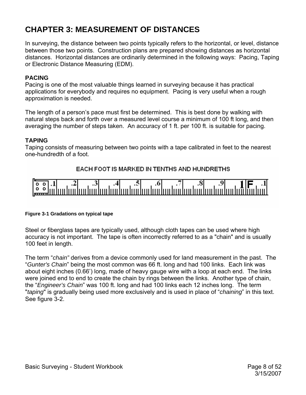# <span id="page-7-0"></span>**CHAPTER 3: MEASUREMENT OF DISTANCES**

In surveying, the distance between two points typically refers to the horizontal, or level, distance between those two points. Construction plans are prepared showing distances as horizontal distances. Horizontal distances are ordinarily determined in the following ways: Pacing, Taping or Electronic Distance Measuring (EDM).

### **PACING**

Pacing is one of the most valuable things learned in surveying because it has practical applications for everybody and requires no equipment. Pacing is very useful when a rough approximation is needed.

The length of a person's pace must first be determined. This is best done by walking with natural steps back and forth over a measured level course a minimum of 100 ft long, and then averaging the number of steps taken. An accuracy of 1 ft. per 100 ft. is suitable for pacing.

### **TAPING**

Taping consists of measuring between two points with a tape calibrated in feet to the nearest one-hundredth of a foot.

## EACH FOOT IS MARKED IN TENTHS AND HUNDRETHS



#### **Figure 3-1 Gradations on typical tape**

Steel or fiberglass tapes are typically used, although cloth tapes can be used where high accuracy is not important. The tape is often incorrectly referred to as a "chain" and is usually 100 feet in length.

The term "*chain"* derives from a device commonly used for land measurement in the past. The "*Gunter's Chain*" being the most common was 66 ft. long and had 100 links. Each link was about eight inches (0.66') long, made of heavy gauge wire with a loop at each end. The links were joined end to end to create the chain by rings between the links. Another type of chain, the "*Engineer's Chain*" was 100 ft. long and had 100 links each 12 inches long. The term "*taping*" is gradually being used more exclusively and is used in place of "*chaining*" in this text. See figure 3-2.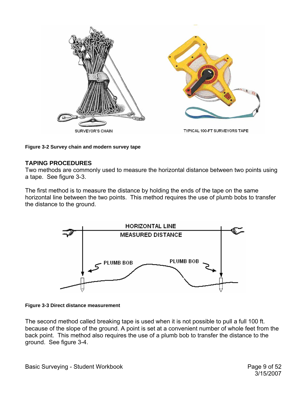<span id="page-8-0"></span>

**Figure 3-2 Survey chain and modern survey tape** 

### **TAPING PROCEDURES**

Two methods are commonly used to measure the horizontal distance between two points using a tape. See figure 3-3.

The first method is to measure the distance by holding the ends of the tape on the same horizontal line between the two points. This method requires the use of plumb bobs to transfer the distance to the ground.





The second method called breaking tape is used when it is not possible to pull a full 100 ft. because of the slope of the ground. A point is set at a convenient number of whole feet from the back point. This method also requires the use of a plumb bob to transfer the distance to the ground. See figure 3-4.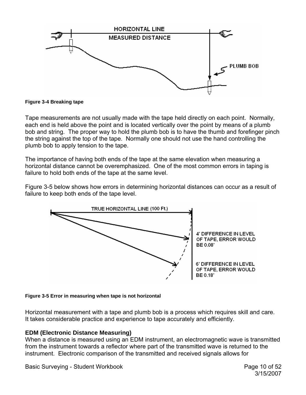<span id="page-9-0"></span>

**Figure 3-4 Breaking tape**

Tape measurements are not usually made with the tape held directly on each point. Normally, each end is held above the point and is located vertically over the point by means of a plumb bob and string. The proper way to hold the plumb bob is to have the thumb and forefinger pinch the string against the top of the tape. Normally one should not use the hand controlling the plumb bob to apply tension to the tape.

The importance of having both ends of the tape at the same elevation when measuring a horizontal distance cannot be overemphasized. One of the most common errors in taping is failure to hold both ends of the tape at the same level.

Figure 3-5 below shows how errors in determining horizontal distances can occur as a result of failure to keep both ends of the tape level.



### **Figure 3-5 Error in measuring when tape is not horizontal**

Horizontal measurement with a tape and plumb bob is a process which requires skill and care. It takes considerable practice and experience to tape accurately and efficiently.

## **EDM (Electronic Distance Measuring)**

When a distance is measured using an EDM instrument, an electromagnetic wave is transmitted from the instrument towards a reflector where part of the transmitted wave is returned to the instrument. Electronic comparison of the transmitted and received signals allows for

Basic Surveying - Student Workbook **Page 10 of 52**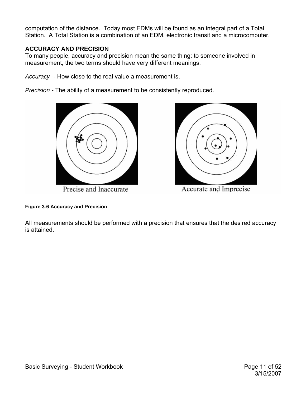<span id="page-10-0"></span>computation of the distance. Today most EDMs will be found as an integral part of a Total Station. A Total Station is a combination of an EDM, electronic transit and a microcomputer.

## **ACCURACY AND PRECISION**

To many people, accuracy and precision mean the same thing: to someone involved in measurement, the two terms should have very different meanings.

*Accuracy -*- How close to the real value a measurement is.

*Precision -* The ability of a measurement to be consistently reproduced.



Precise and Inaccurate



Accurate and Imprecise

**Figure 3-6 Accuracy and Precision** 

All measurements should be performed with a precision that ensures that the desired accuracy is attained.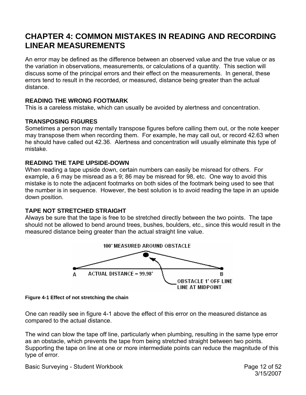## <span id="page-11-0"></span>**CHAPTER 4: COMMON MISTAKES IN READING AND RECORDING LINEAR MEASUREMENTS**

An error may be defined as the difference between an observed value and the true value or as the variation in observations, measurements, or calculations of a quantity. This section will discuss some of the principal errors and their effect on the measurements. In general, these errors tend to result in the recorded, or measured, distance being greater than the actual distance.

## **READING THE WRONG FOOTMARK**

This is a careless mistake, which can usually be avoided by alertness and concentration.

## **TRANSPOSING FIGURES**

Sometimes a person may mentally transpose figures before calling them out, or the note keeper may transpose them when recording them. For example, he may call out, or record 42.63 when he should have called out 42.36. Alertness and concentration will usually eliminate this type of mistake.

## **READING THE TAPE UPSIDE-DOWN**

When reading a tape upside down, certain numbers can easily be misread for others. For example, a 6 may be misread as a 9; 86 may be misread for 98, etc. One way to avoid this mistake is to note the adjacent footmarks on both sides of the footmark being used to see that the number is in sequence. However, the best solution is to avoid reading the tape in an upside down position.

## **TAPE NOT STRETCHED STRAIGHT**

Always be sure that the tape is free to be stretched directly between the two points. The tape should not be allowed to bend around trees, bushes, boulders, etc., since this would result in the measured distance being greater than the actual straight line value.



**Figure 4-1 Effect of not stretching the chain** 

One can readily see in figure 4-1 above the effect of this error on the measured distance as compared to the actual distance.

The wind can blow the tape off line, particularly when plumbing, resulting in the same type error as an obstacle, which prevents the tape from being stretched straight between two points. Supporting the tape on line at one or more intermediate points can reduce the magnitude of this type of error.

Basic Surveying - Student Workbook **Page 12 of 52**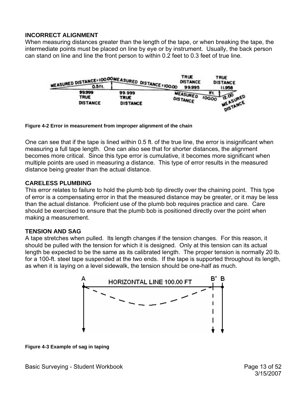## <span id="page-12-0"></span>**INCORRECT ALIGNMENT**

When measuring distances greater than the length of the tape, or when breaking the tape, the intermediate points must be placed on line by eye or by instrument. Usually, the back person can stand on line and line the front person to within 0.2 feet to 0.3 feet of true line.

| MEASURED DISTANCE=10000MEASURED DISTANCE=100.00 |                                   | <b>TRUE</b><br><b>DISTANCE</b><br>99.995 | <b>TRUE</b><br><b>DISTANCE</b><br>11.958           |
|-------------------------------------------------|-----------------------------------|------------------------------------------|----------------------------------------------------|
| 99.999<br><b>TRUE</b><br><b>DISTANCE</b>        | 99.999<br>TRUE<br><b>DISTANCE</b> | <b>MEASURED</b><br><b>DISTANCE</b>       | ĦL.<br><b>MEASURED</b><br>100.00<br><b>NSTANCE</b> |

**Figure 4-2 Error in measurement from improper alignment of the chain** 

One can see that if the tape is lined within 0.5 ft. of the true line, the error is insignificant when measuring a full tape length. One can also see that for shorter distances, the alignment becomes more critical. Since this type error is cumulative, it becomes more significant when multiple points are used in measuring a distance. This type of error results in the measured distance being greater than the actual distance.

### **CARELESS PLUMBING**

This error relates to failure to hold the plumb bob tip directly over the chaining point. This type of error is a compensating error in that the measured distance may be greater, or it may be less than the actual distance. Proficient use of the plumb bob requires practice and care. Care should be exercised to ensure that the plumb bob is positioned directly over the point when making a measurement.

### **TENSION AND SAG**

A tape stretches when pulled. Its length changes if the tension changes. For this reason, it should be pulled with the tension for which it is designed. Only at this tension can its actual length be expected to be the same as its calibrated length. The proper tension is normally 20 lb. for a 100-ft. steel tape suspended at the two ends. If the tape is supported throughout its length, as when it is laying on a level sidewalk, the tension should be one-half as much.



**Figure 4-3 Example of sag in taping**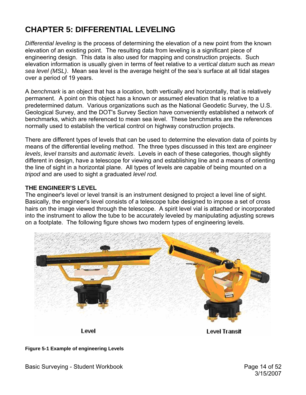# <span id="page-13-0"></span>**CHAPTER 5: DIFFERENTIAL LEVELING**

*Differential leveling* is the process of determining the elevation of a new point from the known elevation of an existing point. The resulting data from leveling is a significant piece of engineering design. This data is also used for mapping and construction projects. Such elevation information is usually given in terms of feet relative to a *vertical datum* such as *mean sea level (MSL)*. Mean sea level is the average height of the sea's surface at all tidal stages over a period of 19 years.

A *benchmark* is an object that has a location, both vertically and horizontally, that is relatively permanent. A point on this object has a known or assumed elevation that is relative to a predetermined datum. Various organizations such as the National Geodetic Survey, the U.S. Geological Survey, and the DOT's Survey Section have conveniently established a network of benchmarks, which are referenced to mean sea level. These benchmarks are the references normally used to establish the vertical control on highway construction projects.

There are different types of levels that can be used to determine the elevation data of points by means of the differential leveling method. The three types discussed in this text are *engineer levels*, *level transits* and *automatic levels*. Levels in each of these categories, though slightly different in design, have a telescope for viewing and establishing line and a means of orienting the line of sight in a horizontal plane. All types of levels are capable of being mounted on a *tripod* and are used to sight a graduated *level rod.* 

### **THE ENGINEER'S LEVEL**

The engineer's level or level transit is an instrument designed to project a level line of sight. Basically, the engineer's level consists of a telescope tube designed to impose a set of cross hairs on the image viewed through the telescope. A spirit level vial is attached or incorporated into the instrument to allow the tube to be accurately leveled by manipulating adjusting screws on a footplate. The following figure shows two modern types of engineering levels.



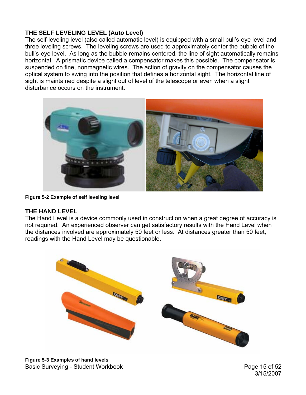## <span id="page-14-0"></span>**THE SELF LEVELING LEVEL (Auto Level)**

The self-leveling level (also called automatic level) is equipped with a small bull's-eye level and three leveling screws. The leveling screws are used to approximately center the bubble of the bull's-eye level. As long as the bubble remains centered, the line of sight automatically remains horizontal. A prismatic device called a compensator makes this possible. The compensator is suspended on fine, nonmagnetic wires. The action of gravity on the compensator causes the optical system to swing into the position that defines a horizontal sight. The horizontal line of sight is maintained despite a slight out of level of the telescope or even when a slight disturbance occurs on the instrument.



**Figure 5-2 Example of self leveling level** 

## **THE HAND LEVEL**

The Hand Level is a device commonly used in construction when a great degree of accuracy is not required. An experienced observer can get satisfactory results with the Hand Level when the distances involved are approximately 50 feet or less. At distances greater than 50 feet, readings with the Hand Level may be questionable.



Basic Surveying - Student Workbook **Page 15 of 52 Figure 5-3 Examples of hand levels**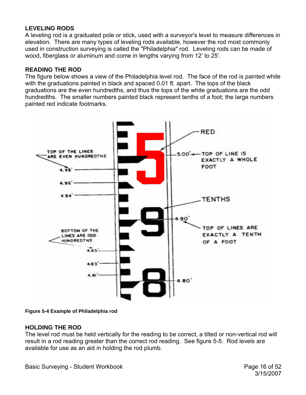## <span id="page-15-0"></span>**LEVELING RODS**

A leveling rod is a graduated pole or stick, used with a surveyor's level to measure differences in elevation. There are many types of leveling rods available, however the rod most commonly used in construction surveying is called the "Philadelphia" rod. Leveling rods can be made of wood, fiberglass or aluminum and come in lengths varying from 12' to 25'.

## **READING THE ROD**

The figure below shows a view of the Philadelphia level rod. The face of the rod is painted white with the graduations painted in black and spaced 0.01 ft. apart. The tops of the black graduations are the even hundredths, and thus the tops of the white graduations are the odd hundredths. The smaller numbers painted black represent tenths of a foot; the large numbers painted red indicate footmarks.



**Figure 5-4 Example of Philadelphia rod** 

## **HOLDING THE ROD**

The level rod must be held vertically for the reading to be correct, a tilted or non-vertical rod will result in a rod reading greater than the correct rod reading. See figure 5-5. Rod levels are available for use as an aid in holding the rod plumb.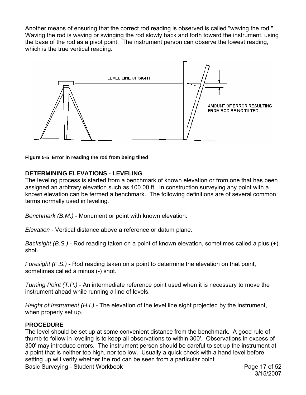<span id="page-16-0"></span>Another means of ensuring that the correct rod reading is observed is called "waving the rod." Waving the rod is waving or swinging the rod slowly back and forth toward the instrument, using the base of the rod as a pivot point. The instrument person can observe the lowest reading, which is the true vertical reading.



**Figure 5-5 Error in reading the rod from being tilted** 

### **DETERMINING ELEVATIONS - LEVELING**

The leveling process is started from a benchmark of known elevation or from one that has been assigned an arbitrary elevation such as 100.00 ft. In construction surveying any point with a known elevation can be termed a benchmark. The following definitions are of several common terms normally used in leveling.

*Benchmark (B.M.)* - Monument or point with known elevation.

*Elevation* - Vertical distance above a reference or datum plane.

*Backsight (B.S.)* - Rod reading taken on a point of known elevation, sometimes called a plus (+) shot.

*Foresight (F.S.)* - Rod reading taken on a point to determine the elevation on that point, sometimes called a minus (-) shot.

*Turning Point (T.P.)* - An intermediate reference point used when it is necessary to move the instrument ahead while running a line of levels.

*Height of Instrument (H.I.)* - The elevation of the level line sight projected by the instrument, when properly set up.

### **PROCEDURE**

Basic Surveying - Student Workbook **Page 17 of 52** The level should be set up at some convenient distance from the benchmark. A good rule of thumb to follow in leveling is to keep all observations to within 300'. Observations in excess of 300' may introduce errors. The instrument person should be careful to set up the instrument at a point that is neither too high, nor too low. Usually a quick check with a hand level before setting up will verify whether the rod can be seen from a particular point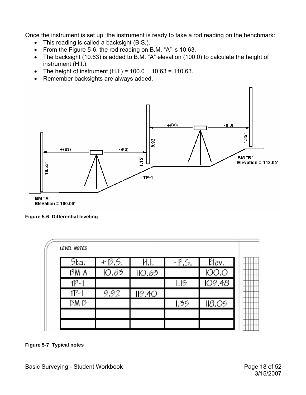<span id="page-17-0"></span>Once the instrument is set up, the instrument is ready to take a rod reading on the benchmark:

- This reading is called a backsight (B.S.).
- From the Figure 5-6, the rod reading on B.M. "A" is 10.63.
- The backsight (10.63) is added to B.M. "A" elevation (100.0) to calculate the height of instrument (H.I.).
- The height of instrument  $(H.I.) = 100.0 + 10.63 = 110.63$ .
- Remember backsights are always added.



**Figure 5-6 Differential leveling** 

| 5ta    | $+35$ | H.I.   |      | $-F5$ $E$ lev |
|--------|-------|--------|------|---------------|
| BM A   | 10.63 | IO.63  |      | <b>100.0</b>  |
| $TP-1$ |       |        | 1.5  | 109.48        |
| $TP-1$ | 9.92  | II9.4O |      |               |
| BM B   |       |        | 1.35 | 118.05        |

**Figure 5-7 Typical notes**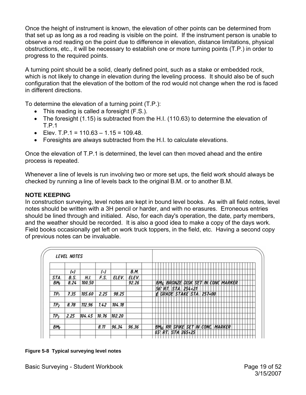<span id="page-18-0"></span>Once the height of instrument is known, the elevation of other points can be determined from that set up as long as a rod reading is visible on the point. If the instrument person is unable to observe a rod reading on the point due to difference in elevation, distance limitations, physical obstructions, etc., it will be necessary to establish one or more turning points (T.P.) in order to progress to the required points.

A turning point should be a solid, clearly defined point, such as a stake or embedded rock, which is not likely to change in elevation during the leveling process. It should also be of such configuration that the elevation of the bottom of the rod would not change when the rod is faced in different directions.

To determine the elevation of a turning point (T.P.):

- This reading is called a foresight (F.S.).
- The foresight (1.15) is subtracted from the H.I. (110.63) to determine the elevation of T.P.1
- Elev. T.P.1 =  $110.63 1.15 = 109.48$ .
- Foresights are always subtracted from the H.I. to calculate elevations.

Once the elevation of T.P.1 is determined, the level can then moved ahead and the entire process is repeated.

Whenever a line of levels is run involving two or more set ups, the field work should always be checked by running a line of levels back to the original B.M. or to another B.M.

## **NOTE KEEPING**

In construction surveying, level notes are kept in bound level books. As with all field notes, level notes should be written with a 3H pencil or harder, and with no erasures. Erroneous entries should be lined through and initialed. Also, for each day's operation, the date, party members, and the weather should be recorded. It is also a good idea to make a copy of the days work. Field books occasionally get left on work truck toppers, in the field, etc. Having a second copy of previous notes can be invaluable.

|                 | <i><b>LEVEL NOTES</b></i> |        |       |        |       |                                                              |
|-----------------|---------------------------|--------|-------|--------|-------|--------------------------------------------------------------|
|                 |                           |        |       |        |       |                                                              |
|                 | (+)                       |        | (-)   |        | B.M.  |                                                              |
| STA.            | B.S.                      | H.I.   | F.S.  | ELEV.  | ELEV. |                                                              |
| BM,             | 8.24                      | 100.50 |       |        | 92.26 | <b>SET</b><br>IN CONC MARKER<br><b>BRONZE</b><br>DISK<br>BМ  |
|                 |                           |        |       |        |       | 56'<br> STA                                                  |
| ТP,             | 7.35                      | 105.60 | 2.25  | 98.25  |       | i' RT.   STA.   254+21<br>GRADE   STAKE   STA.<br>$257 - 00$ |
| TP,             | 8.78                      | 112.96 | 1.42  | 104.18 |       |                                                              |
| TP3             | 2.25                      | 104.45 | 10.76 | 102.20 |       |                                                              |
| BM <sub>2</sub> |                           |        | 8.11  | 96.34  | 96.36 | <b>SET</b><br>CONC. MARKER<br>SPIKE<br><b>IN</b><br>R<br>ΒI  |
|                 |                           |        |       |        |       | STA<br>65<br>$265 + 25$                                      |

### **Figure 5-8 Typical surveying level notes**

Basic Surveying - Student Workbook **Page 19 of 52**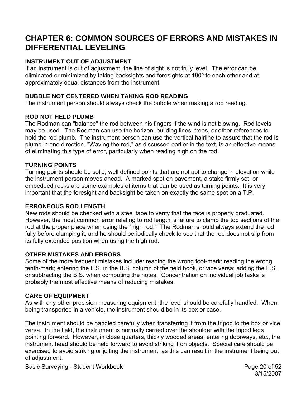## <span id="page-19-0"></span>**CHAPTER 6: COMMON SOURCES OF ERRORS AND MISTAKES IN DIFFERENTIAL LEVELING**

## **INSTRUMENT OUT OF ADJUSTMENT**

If an instrument is out of adjustment, the line of sight is not truly level. The error can be eliminated or minimized by taking backsights and foresights at 180° to each other and at approximately equal distances from the instrument.

## **BUBBLE NOT CENTERED WHEN TAKING ROD READING**

The instrument person should always check the bubble when making a rod reading.

## **ROD NOT HELD PLUMB**

The Rodman can "balance" the rod between his fingers if the wind is not blowing. Rod levels may be used. The Rodman can use the horizon, building lines, trees, or other references to hold the rod plumb. The instrument person can use the vertical hairline to assure that the rod is plumb in one direction. "Waving the rod," as discussed earlier in the text, is an effective means of eliminating this type of error, particularly when reading high on the rod.

### **TURNING POINTS**

Turning points should be solid, well defined points that are not apt to change in elevation while the instrument person moves ahead. A marked spot on pavement, a stake firmly set, or embedded rocks are some examples of items that can be used as turning points. It is very important that the foresight and backsight be taken on exactly the same spot on a T.P.

### **ERRONEOUS ROD LENGTH**

New rods should be checked with a steel tape to verify that the face is properly graduated. However, the most common error relating to rod length is failure to clamp the top sections of the rod at the proper place when using the "high rod." The Rodman should always extend the rod fully before clamping it, and he should periodically check to see that the rod does not slip from its fully extended position when using the high rod.

## **OTHER MISTAKES AND ERRORS**

Some of the more frequent mistakes include: reading the wrong foot-mark; reading the wrong tenth-mark; entering the F.S. in the B.S. column of the field book, or vice versa; adding the F.S. or subtracting the B.S. when computing the notes. Concentration on individual job tasks is probably the most effective means of reducing mistakes.

## **CARE OF EQUIPMENT**

As with any other precision measuring equipment, the level should be carefully handled. When being transported in a vehicle, the instrument should be in its box or case.

The instrument should be handled carefully when transferring it from the tripod to the box or vice versa. In the field, the instrument is normally carried over the shoulder with the tripod legs pointing forward. However, in close quarters, thickly wooded areas, entering doorways, etc., the instrument head should be held forward to avoid striking it on objects. Special care should be exercised to avoid striking or jolting the instrument, as this can result in the instrument being out of adjustment.

Basic Surveying - Student Workbook **Page 20 of 52**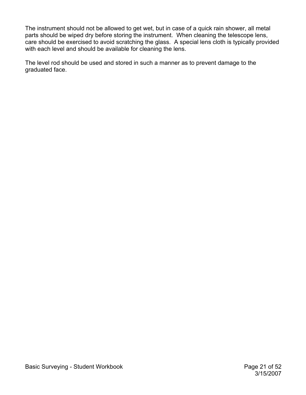The instrument should not be allowed to get wet, but in case of a quick rain shower, all metal parts should be wiped dry before storing the instrument. When cleaning the telescope lens, care should be exercised to avoid scratching the glass. A special lens cloth is typically provided with each level and should be available for cleaning the lens.

The level rod should be used and stored in such a manner as to prevent damage to the graduated face.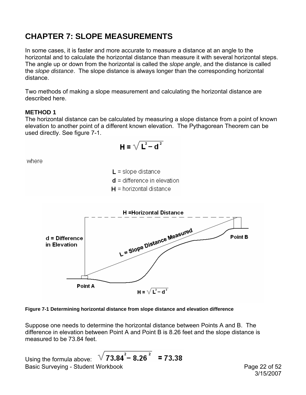# <span id="page-21-0"></span>**CHAPTER 7: SLOPE MEASUREMENTS**

In some cases, it is faster and more accurate to measure a distance at an angle to the horizontal and to calculate the horizontal distance than measure it with several horizontal steps. The angle up or down from the horizontal is called the *slope angle*, and the distance is called the *slope distance*. The slope distance is always longer than the corresponding horizontal distance.

Two methods of making a slope measurement and calculating the horizontal distance are described here.

## **METHOD 1**

The horizontal distance can be calculated by measuring a slope distance from a point of known elevation to another point of a different known elevation. The Pythagorean Theorem can be used directly. See figure 7-1.

$$
H = \sqrt{L^2 - d^2}
$$

where

 $L =$  slope distance  $d =$  difference in elevation  $H =$  horizontal distance



#### **Figure 7-1 Determining horizontal distance from slope distance and elevation difference**

Suppose one needs to determine the horizontal distance between Points A and B. The difference in elevation between Point A and Point B is 8.26 feet and the slope distance is measured to be 73.84 feet.

Basic Surveying - Student Workbook **Page 22 of 52** Using the formula above:  $\sqrt{73.84^{2} - 8.26^{2}}$  = 73.38

3/15/2007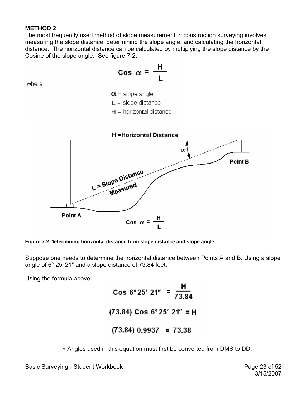## <span id="page-22-0"></span>**METHOD 2**

The most frequently used method of slope measurement in construction surveying involves measuring the slope distance, determining the slope angle, and calculating the horizontal distance. The horizontal distance can be calculated by multiplying the slope distance by the Cosine of the slope angle. See figure 7-2.



**Figure 7-2 Determining horizontal distance from slope distance and slope angle** 

Suppose one needs to determine the horizontal distance between Points A and B. Using a slope angle of 6° 25′ 21″ and a slope distance of 73.84 feet.

Using the formula above:

Cos 6°25' 21" =  $\frac{H}{73.84}$ (73.84) Cos 6°25' 21" = H  $(73.84) 0.9937 = 73.38$ 

∗ Angles used in this equation must first be converted from DMS to DD.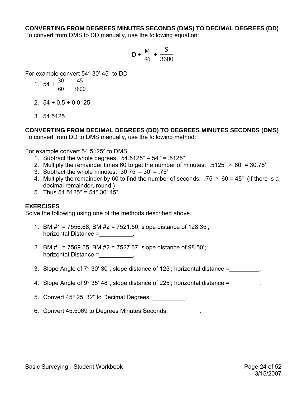### <span id="page-23-0"></span>**CONVERTING FROM DEGREES MINUTES SECONDS (DMS) TO DECIMAL DEGREES (DD)**

To convert from DMS to DD manually, use the following equation:

$$
D + \frac{M}{60} + \frac{S}{3600}
$$

For example convert 54° 30' 45" to DD

1. 
$$
54 + \frac{30}{60} + \frac{45}{3600}
$$

- 2. 54 + 0.5 + 0.0125
- 3. 54.5125

**CONVERTING FROM DECIMAL DEGREES (DD) TO DEGREES MINUTES SECONDS (DMS)**  To convert from DD to DMS manually, use the following method:

For example convert 54.5125° to DMS.

- 1. Subtract the whole degrees:  $54.5125^{\circ} 54^{\circ} = .5125^{\circ}$
- 2. Multiply the remainder times 60 to get the number of minutes:  $.5125^{\circ} \times 60 = 30.75'$
- 3. Subtract the whole minutes:  $30.75' 30' = .75'$
- 4. Multiply the remainder by 60 to find the number of seconds:  $.75' \times 60 = 45''$  (If there is a decimal remainder, round.)
- 5. Thus  $54.5125^\circ = 54^\circ 30' 45''$ .

#### **EXERCISES**

Solve the following using one of the methods described above.

- 1. BM #1 = 7556.68, BM #2 = 7521.50, slope distance of 128.35'; horizontal Distance =
- 2. BM #1 = 7569.55, BM #2 = 7527.67, slope distance of 98.50'; horizontal Distance = The state of the state of the state of the state of the state of the state of the state o
- 3. Slope Angle of  $7^{\circ}$  30' 30", slope distance of 125'; horizontal distance =  $\blacksquare$
- 4. Slope Angle of  $9^{\circ}$  35' 48", slope distance of 225'; horizontal distance =
- 5. Convert 45° 25' 32" to Decimal Degrees;
- 6. Convert 45.5069 to Degrees Minutes Seconds; \_\_\_\_\_\_\_\_\_.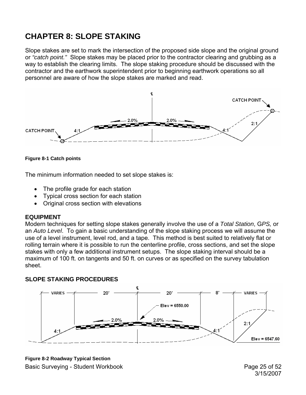# <span id="page-24-0"></span>**CHAPTER 8: SLOPE STAKING**

Slope stakes are set to mark the intersection of the proposed side slope and the original ground or *"catch point."* Slope stakes may be placed prior to the contractor clearing and grubbing as a way to establish the clearing limits. The slope staking procedure should be discussed with the contractor and the earthwork superintendent prior to beginning earthwork operations so all personnel are aware of how the slope stakes are marked and read.





The minimum information needed to set slope stakes is:

- The profile grade for each station
- Typical cross section for each station
- Original cross section with elevations

#### **EQUIPMENT**

Modern techniques for setting slope stakes generally involve the use of a *Total Station*, G*PS,* or an *Auto Level*. To gain a basic understanding of the slope staking process we will assume the use of a level instrument, level rod, and a tape. This method is best suited to relatively flat or rolling terrain where it is possible to run the centerline profile, cross sections, and set the slope stakes with only a few additional instrument setups. The slope staking interval should be a maximum of 100 ft. on tangents and 50 ft. on curves or as specified on the survey tabulation sheet.

### **SLOPE STAKING PROCEDURES**



Basic Surveying - Student Workbook **Page 25 of 52** and Page 25 of 52 **Figure 8-2 Roadway Typical Section** 

3/15/2007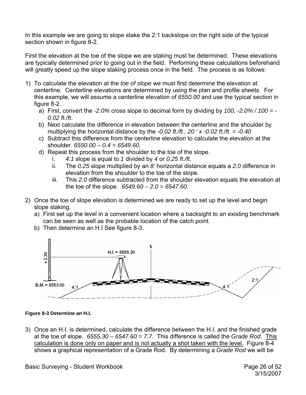<span id="page-25-0"></span>In this example we are going to slope stake the 2:1 backslope on the right side of the typical section shown in figure 8-2.

First the elevation at the toe of the slope we are staking must be determined. These elevations are typically determined prior to going out in the field. Performing these calculations beforehand will greatly speed up the slope staking process once in the field. The process is as follows:

- 1) To calculate the elevation at the *toe of slope* we must first determine the elevation at centerline. Centerline elevations are determined by using the plan and profile sheets. For this example, we will assume a centerline elevation of *6550.00* and use the typical section in figure 8-2.
	- a) First, convert the *-2.0%* cross slope to decimal form by dividing by *100, -2.0% / 100 = - 0.02 ft./ft*.
	- b) Next calculate the difference in elevation between the centerline and the shoulder by multiplying the horizontal distance by the *-0.02 ft./ft., 20 ' x -0.02 ft./ft. = -0.40*
	- c) Subtract this difference from the centerline elevation to calculate the elevation at the shoulder. *6550.00 – 0.4 = 6549.60.*
	- d) Repeat this process from the shoulder to the toe of the slope.
		- i. *4:1* slope is equal to *1* divided by *4* or *0.25 ft./ft*.
		- ii. The *0.25* slope multiplied by an *8'* horizontal distance equals a *2.0* difference in elevation from the shoulder to the toe of the slope.
		- iii. This *2.0* difference subtracted from the shoulder elevation equals the elevation at the toe of the slope. *6549.60 – 2.0 = 6547.60.*
- 2) Once the toe of slope elevation is determined we are ready to set up the level and begin slope staking.
	- a) First set up the level in a convenient location where a backsight to an existing benchmark can be seen as well as the probable location of the catch point.
	- b) Then determine an H.I See figure 8-3.



### **Figure 8-3 Determine an H.I.**

3) Once an H.I. is determined, calculate the difference between the H.I. and the finished grade at the toe of slope. *6555.30 – 6547.60 = 7.7*. This difference is called the *Grade Rod*. This calculation is done only on paper and is not actually a shot taken with the level. Figure 8-4 shows a graphical representation of a Grade Rod. By determining a *Grade Rod* we will be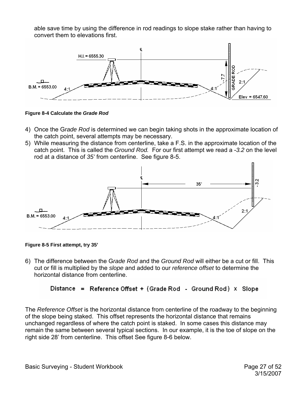<span id="page-26-0"></span>able save time by using the difference in rod readings to slope stake rather than having to convert them to elevations first.



**Figure 8-4 Calculate the** *Grade Rod*

- 4) Once the G*rade Rod* is determined we can begin taking shots in the approximate location of the catch point, several attempts may be necessary.
- 5) While measuring the distance from centerline, take a F.S. in the approximate location of the catch point. This is called the *Ground Rod.* For our first attempt we read a -*3.2* on the level rod at a distance of *35'* from centerline. See figure 8-5.



**Figure 8-5 First attempt, try 35'** 

6) The difference between the G*rade Rod* and the *Ground Rod* will either be a cut or fill. This cut or fill is multiplied by the *slope* and added to our *reference offset* to determine the horizontal distance from centerline.

## Distance = Reference Offset + (Grade Rod - Ground Rod) x Slope

The *Reference Offset* is the horizontal distance from centerline of the roadway to the beginning of the slope being staked. This offset represents the horizontal distance that remains unchanged regardless of where the catch point is staked. In some cases this distance may remain the same between several typical sections. In our example, it is the toe of slope on the right side 28' from centerline. This offset See figure 8-6 below.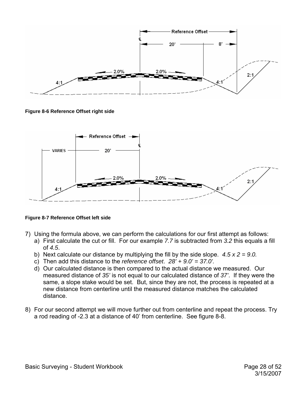<span id="page-27-0"></span>

**Figure 8-6 Reference Offset right side** 



**Figure 8-7 Reference Offset left side** 

- 7) Using the formula above, we can perform the calculations for our first attempt as follows:
	- a) First calculate the cut or fill. For our example *7.7* is subtracted from *3.2* this equals a fill of *4.5*.
	- b) Next calculate our distance by multiplying the fill by the side slope. *4.5 x 2 = 9*.*0.*
	- c) Then add this distance to the *reference offset*. *28' + 9.0' = 37.0'.*
	- d) Our calculated distance is then compared to the actual distance we measured. Our measured distance of *35'* is not equal to our calculated distance of *37'*. If they were the same, a slope stake would be set. But, since they are not, the process is repeated at a new distance from centerline until the measured distance matches the calculated distance.
- 8) For our second attempt we will move further out from centerline and repeat the process. Try a rod reading of -2.3 at a distance of 40' from centerline. See figure 8-8.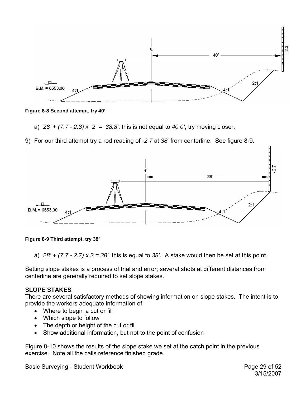<span id="page-28-0"></span>

**Figure 8-8 Second attempt, try 40'** 

- a) *28' + (7.7 2.3) x 2 = 38.8'*, this is not equal to *40.0'*, try moving closer.
- 9) For our third attempt try a rod reading of *-2.7* at *38*' from centerline. See figure 8-9.



**Figure 8-9 Third attempt, try 38'** 

a) *28' + (7.7 - 2.7) x 2 = 38',* this is equal to *38'.* A stake would then be set at this point.

Setting slope stakes is a process of trial and error; several shots at different distances from centerline are generally required to set slope stakes.

#### **SLOPE STAKES**

There are several satisfactory methods of showing information on slope stakes. The intent is to provide the workers adequate information of:

- Where to begin a cut or fill
- Which slope to follow
- The depth or height of the cut or fill
- Show additional information, but not to the point of confusion

Figure 8-10 shows the results of the slope stake we set at the catch point in the previous exercise. Note all the calls reference finished grade.

Basic Surveying - Student Workbook **Page 29 of 52**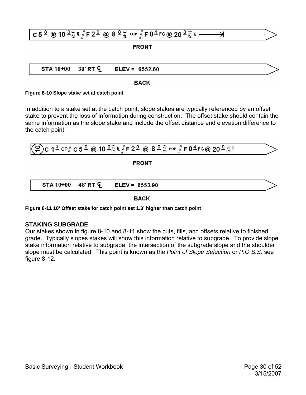<span id="page-29-0"></span>

|  | $ C50 \otimes 100$ $\frac{C}{34}$ if $ F20 \otimes 80$ $\frac{C}{34}$ for $ F04$ fg @ 20 <sup>0</sup> $\frac{C}{34}$ f $\overline{\phantom{0}}$ |  |
|--|-------------------------------------------------------------------------------------------------------------------------------------------------|--|
|  | <b>FRONT</b>                                                                                                                                    |  |
|  |                                                                                                                                                 |  |
|  | STA 10+00 38' RT $C = ELEV = 6552.60$                                                                                                           |  |

#### **BACK**

#### **Figure 8-10 Slope stake set at catch point**

In addition to a stake set at the catch point, slope stakes are typically referenced by an offset stake to prevent the loss of information during construction. The offset stake should contain the same information as the slope stake and include the offset distance and elevation difference to the catch point.

$$
\frac{2c \cdot 1^{\frac{3}{2}} \cdot \text{CP} \cdot \text{C} \cdot 5^{\frac{0}{2}} \cdot \text{CP}}{\text{FRONT}}
$$
\n

| STA 10+00 | 48' RT \cdot E | ELEV = 6553.90 |
|-----------|----------------|----------------|
|-----------|----------------|----------------|

**BACK** 

**Figure 8-11 10' Offset stake for catch point set 1.3' higher than catch point** 

### **STAKING SUBGRADE**

Our stakes shown in figure 8-10 and 8-11 show the cuts, fills, and offsets relative to finished grade. Typically slopes stakes will show this information relative to subgrade. To provide slope stake information relative to subgrade, the intersection of the subgrade slope and the shoulder slope must be calculated. This point is known as the *Point of Slope Selection* or *P.O.S.S.* see figure 8-12.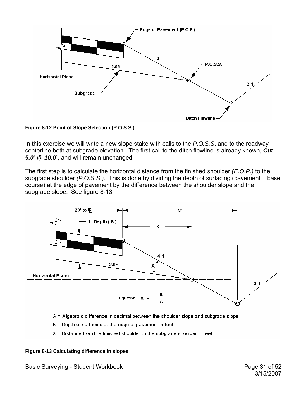<span id="page-30-0"></span>

**Figure 8-12 Point of Slope Selection (P.O.S.S.)** 

In this exercise we will write a new slope stake with calls to the *P.O.S.S*. and to the roadway centerline both at subgrade elevation. The first call to the ditch flowline is already known, *Cut 5.0' @ 10.0***'**, and will remain unchanged.

The first step is to calculate the horizontal distance from the finished shoulder *(E.O.P.)* to the subgrade shoulder *(P.O.S.S.)*. This is done by dividing the depth of surfacing (pavement + base course) at the edge of pavement by the difference between the shoulder slope and the subgrade slope. See figure 8-13.



A = Algebraic difference in decimal between the shoulder slope and subgrade slope

 $B =$  Depth of surfacing at the edge of pavement in feet

 $X =$  Distance from the finished shoulder to the subgrade shoulder in feet

#### **Figure 8-13 Calculating difference in slopes**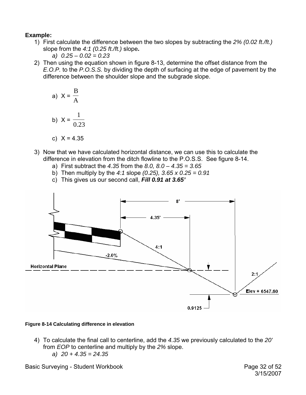## <span id="page-31-0"></span>**Example:**

- 1) First calculate the difference between the two slopes by subtracting the *2% (0.02 ft./ft.)* slope from the *4:1 (0.25 ft./ft.)* slope**.**
	- *a) 0.25 0.02 = 0.23*
- 2) Then using the equation shown in figure 8-13, determine the offset distance from the *E.O.P.* to the *P.O.S.S.* by dividing the depth of surfacing at the edge of pavement by the difference between the shoulder slope and the subgrade slope.

a) 
$$
X = \frac{B}{A}
$$
  
b)  $X = \frac{1}{0.23}$   
c)  $X = 4.35$ 

- 3) Now that we have calculated horizontal distance, we can use this to calculate the difference in elevation from the ditch flowline to the P.O.S.S. See figure 8-14.
	- - a) First subtract the *4.35* from the *8.0, 8.0 4.35 = 3.65*
		- b) Then multiply by the *4:1* slope *(0.25), 3.65 x 0.25 = 0.91*
		- c) This gives us our second call, *Fill 0.91 at 3.65'*



### **Figure 8-14 Calculating difference in elevation**

4) To calculate the final call to centerline, add the *4.35* we previously calculated to the *20'* from *EOP* to centerline and multiply by the *2%* slope. *a) 20 + 4.35 = 24.35* 

Basic Surveying - Student Workbook **Page 32 of 52**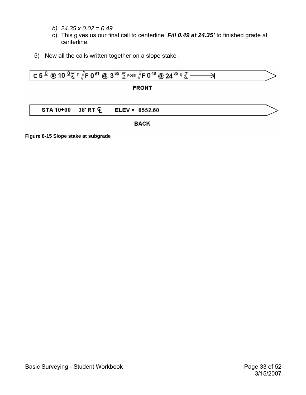- <span id="page-32-0"></span>*b) 24.35 x 0.02 = 0.49*
- c) This gives us our final call to centerline, *Fill 0.49 at 24.35'* to finished grade at centerline.
- 5) Now all the calls written together on a slope stake :



**Figure 8-15 Slope stake at subgrade**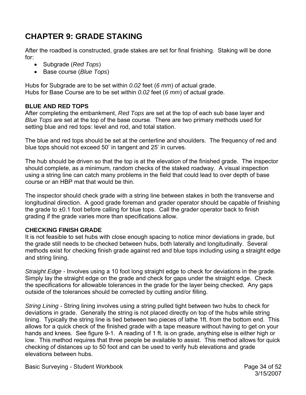# <span id="page-33-0"></span>**CHAPTER 9: GRADE STAKING**

After the roadbed is constructed, grade stakes are set for final finishing. Staking will be done for:

- Subgrade (*Red Tops*)
- Base course (*Blue Tops*)

Hubs for Subgrade are to be set within *0.02* feet (*6 mm*) of actual grade. Hubs for Base Course are to be set within *0.02* feet (*6 mm*) of actual grade.

## **BLUE AND RED TOPS**

After completing the embankment, *Red Tops* are set at the top of each sub base layer and *Blue Tops* are set at the top of the base course. There are two primary methods used for setting blue and red tops: level and rod, and total station.

The blue and red tops should be set at the centerline and shoulders. The frequency of red and blue tops should not exceed 50' in tangent and 25' in curves.

The hub should be driven so that the top is at the elevation of the finished grade. The inspector should complete, as a minimum, random checks of the staked roadway. A visual inspection using a string line can catch many problems in the field that could lead to over depth of base course or an HBP mat that would be thin.

The inspector should check grade with a string line between stakes in both the transverse and longitudinal direction. A good grade foreman and grader operator should be capable of finishing the grade to ±0.1 foot before calling for blue tops. Call the grader operator back to finish grading if the grade varies more than specifications allow.

## **CHECKING FINISH GRADE**

It is not feasible to set hubs with close enough spacing to notice minor deviations in grade, but the grade still needs to be checked between hubs, both laterally and longitudinally. Several methods exist for checking finish grade against red and blue tops including using a straight edge and string lining.

*Straight Edge -* Involves using a 10 foot long straight edge to check for deviations in the grade. Simply lay the straight edge on the grade and check for gaps under the straight edge. Check the specifications for allowable tolerances in the grade for the layer being checked. Any gaps outside of the tolerances should be corrected by cutting and/or filling.

*String Lining -* String lining involves using a string pulled tight between two hubs to check for deviations in grade. Generally the string is not placed directly on top of the hubs while string lining. Typically the string line is tied between two pieces of lathe 1ft. from the bottom end. This allows for a quick check of the finished grade with a tape measure without having to get on your hands and knees. See figure 9-1. A reading of 1 ft. is on grade, anything else is either high or low. This method requires that three people be available to assist. This method allows for quick checking of distances up to 50 foot and can be used to verify hub elevations and grade elevations between hubs.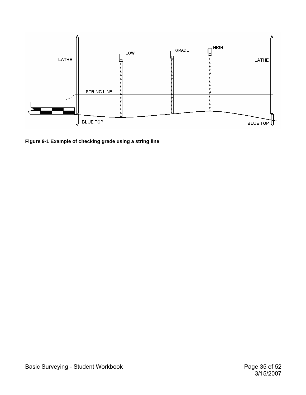<span id="page-34-0"></span>

**Figure 9-1 Example of checking grade using a string line**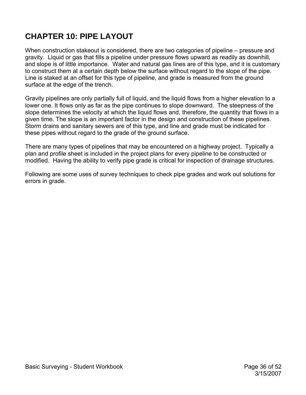# <span id="page-35-0"></span>**CHAPTER 10: PIPE LAYOUT**

When construction stakeout is considered, there are two categories of pipeline – pressure and gravity. Liquid or gas that fills a pipeline under pressure flows upward as readily as downhill, and slope is of little importance. Water and natural gas lines are of this type, and it is customary to construct them at a certain depth below the surface without regard to the slope of the pipe. Line is staked at an offset for this type of pipeline, and grade is measured from the ground surface at the edge of the trench.

Gravity pipelines are only partially full of liquid, and the liquid flows from a higher elevation to a lower one. It flows only as far as the pipe continues to slope downward. The steepness of the slope determines the velocity at which the liquid flows and, therefore, the quantity that flows in a given time. The slope is an important factor in the design and construction of these pipelines. Storm drains and sanitary sewers are of this type, and line and grade must be indicated for these pipes without regard to the grade of the ground surface.

There are many types of pipelines that may be encountered on a highway project. Typically a plan and profile sheet is included in the project plans for every pipeline to be constructed or modified. Having the ability to verify pipe grade is critical for inspection of drainage structures.

Following are some uses of survey techniques to check pipe grades and work out solutions for errors in grade.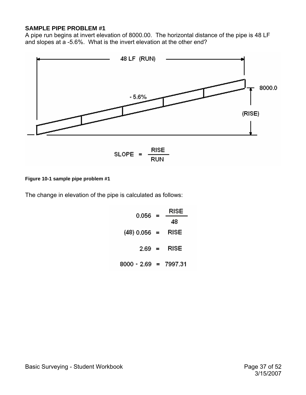### <span id="page-36-0"></span>**SAMPLE PIPE PROBLEM #1**

A pipe run begins at invert elevation of 8000.00. The horizontal distance of the pipe is 48 LF and slopes at a -5.6%. What is the invert elevation at the other end?



#### **Figure 10-1 sample pipe problem #1**

The change in elevation of the pipe is calculated as follows:

| 0.056                   | $=$                       | RISE |
|-------------------------|---------------------------|------|
|                         |                           | 48   |
| (48) 0.056 =            |                           | RISE |
| 2.69                    | $\mathbf{r} = \mathbf{r}$ | RISE |
| $8000 - 2.69 = 7997.31$ |                           |      |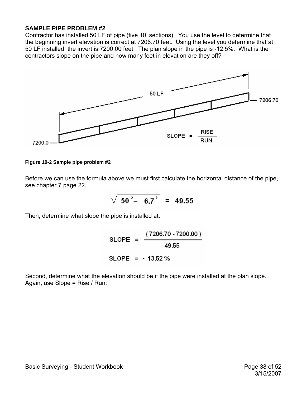### <span id="page-37-0"></span>**SAMPLE PIPE PROBLEM #2**

Contractor has installed 50 LF of pipe (five 10' sections). You use the level to determine that the beginning invert elevation is correct at 7206.70 feet. Using the level you determine that at 50 LF installed, the invert is 7200.00 feet. The plan slope in the pipe is -12.5%. What is the contractors slope on the pipe and how many feet in elevation are they off?



#### **Figure 10-2 Sample pipe problem #2**

Before we can use the formula above we must first calculate the horizontal distance of the pipe, see chapter 7 page 22.

$$
\sqrt{50^2 - 6.7^2} = 49.55
$$

Then, determine what slope the pipe is installed at:

SLOPE = 
$$
\frac{(7206.70 - 7200.00)}{49.55}
$$
  
SLOPE = -13.52%

Second, determine what the elevation should be if the pipe were installed at the plan slope. Again, use Slope = Rise / Run: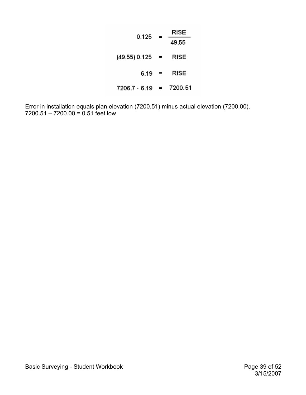| 0.125         | =        | RISE    |
|---------------|----------|---------|
|               |          | 49.55   |
| (49.55) 0.125 | $=$      | RISE    |
| 6.19          | $\equiv$ | RISE    |
| 7206.7 6.19   | $=$      | 7200.51 |

Error in installation equals plan elevation (7200.51) minus actual elevation (7200.00). 7200.51 – 7200.00 = 0.51 feet low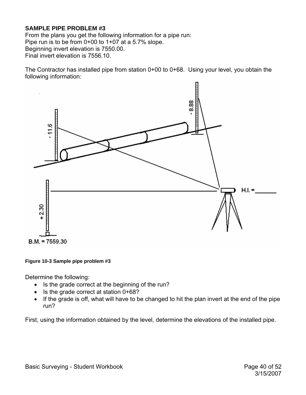## <span id="page-39-0"></span>**SAMPLE PIPE PROBLEM #3**

From the plans you get the following information for a pipe run: Pipe run is to be from 0+00 to 1+07 at a 5.7% slope. Beginning invert elevation is 7550.00. Final invert elevation is 7556.10.

The Contractor has installed pipe from station 0+00 to 0+68. Using your level, you obtain the following information:



#### **Figure 10-3 Sample pipe problem #3**

Determine the following:

- Is the grade correct at the beginning of the run?
- Is the grade correct at station 0+68?
- If the grade is off, what will have to be changed to hit the plan invert at the end of the pipe run?

First, using the information obtained by the level, determine the elevations of the installed pipe.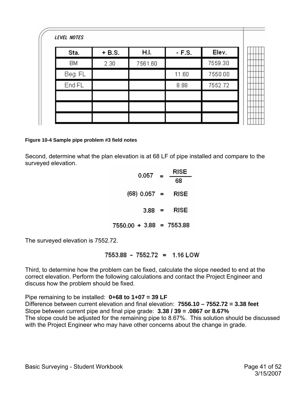<span id="page-40-0"></span>

| Sta.      | $+ B.S.$ | H.I.    | $-F.S.$ | Elev.   |
|-----------|----------|---------|---------|---------|
| <b>BM</b> | 2.30     | 7561.60 |         | 7559.30 |
| Beg. FL   |          |         | 11.60   | 7550.00 |
| End FL    |          |         | 8.88    | 7552.72 |
|           |          |         |         |         |
|           |          |         |         |         |
|           |          |         |         |         |

#### **Figure 10-4 Sample pipe problem #3 field notes**

Second, determine what the plan elevation is at 68 LF of pipe installed and compare to the surveyed elevation.

| 0.057                      | $=$                       | RISE |
|----------------------------|---------------------------|------|
|                            |                           | 68   |
| (68) 0.057 =               |                           | RISE |
| 3.88                       | $\mathbf{r} = \mathbf{r}$ | RISE |
| $7550.00 + 3.88 = 7553.88$ |                           |      |

The surveyed elevation is 7552.72.

7553.88 - 7552.72 = 1.16 LOW

Third, to determine how the problem can be fixed, calculate the slope needed to end at the correct elevation. Perform the following calculations and contact the Project Engineer and discuss how the problem should be fixed.

Pipe remaining to be installed: **0+68 to 1+07 = 39 LF** Difference between current elevation and final elevation: **7556.10 – 7552.72 = 3.38 feet** Slope between current pipe and final pipe grade: **3.38 / 39 = .0867 or 8.67%** The slope could be adjusted for the remaining pipe to 8.67%. This solution should be discussed with the Project Engineer who may have other concerns about the change in grade.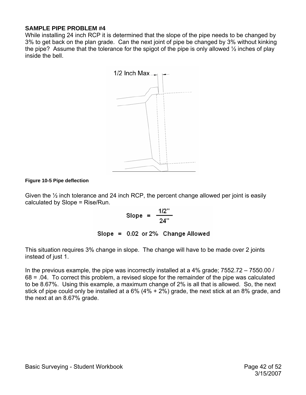### <span id="page-41-0"></span>**SAMPLE PIPE PROBLEM #4**

While installing 24 inch RCP it is determined that the slope of the pipe needs to be changed by 3% to get back on the plan grade. Can the next joint of pipe be changed by 3% without kinking the pipe? Assume that the tolerance for the spigot of the pipe is only allowed  $\frac{1}{2}$  inches of play inside the bell.



#### **Figure 10-5 Pipe deflection**

Given the ½ inch tolerance and 24 inch RCP, the percent change allowed per joint is easily calculated by Slope = Rise/Run.

Slope = 
$$
\frac{1/2^{11}}{24}
$$

Slope = 0.02 or 2% Change Allowed

This situation requires 3% change in slope. The change will have to be made over 2 joints instead of just 1.

In the previous example, the pipe was incorrectly installed at a 4% grade; 7552.72 – 7550.00 / 68 = .04. To correct this problem, a revised slope for the remainder of the pipe was calculated to be 8.67%. Using this example, a maximum change of 2% is all that is allowed. So, the next stick of pipe could only be installed at a 6% (4% + 2%) grade, the next stick at an 8% grade, and the next at an 8.67% grade.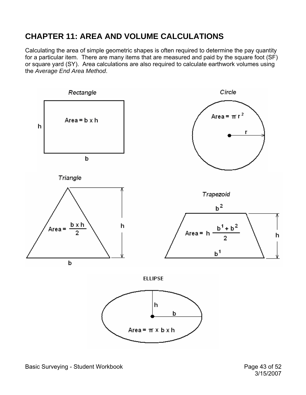# <span id="page-42-0"></span>**CHAPTER 11: AREA AND VOLUME CALCULATIONS**

Calculating the area of simple geometric shapes is often required to determine the pay quantity for a particular item. There are many items that are measured and paid by the square foot (SF) or square yard (SY). Area calculations are also required to calculate earthwork volumes using the *Average End Area Method*.

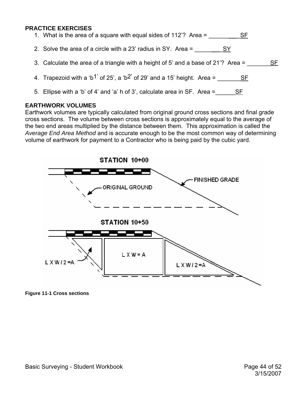### <span id="page-43-0"></span>**PRACTICE EXERCISES**

| 1. What is the area of a square with equal sides of 112'? Area =                                       |
|--------------------------------------------------------------------------------------------------------|
| 2. Solve the area of a circle with a 23' radius in SY. Area =<br>SY.                                   |
| 3. Calculate the area of a triangle with a height of 5' and a base of 21'? Area =<br>SF                |
| 4. Trapezoid with a 'b <sup>1'</sup> of 25', a 'b <sup>2'</sup> of 29' and a 15' height. Area =<br>-SF |
| 5. Ellipse with a 'b' of 4' and 'a' h of 3', calculate area in SF. Area =                              |

### **EARTHWORK VOLUMES**

Earthwork volumes are typically calculated from original ground cross sections and final grade cross sections. The volume between cross sections is approximately equal to the average of the two end areas multiplied by the distance between them. This approximation is called the *Average End Area Method* and is accurate enough to be the most common way of determining volume of earthwork for payment to a Contractor who is being paid by the cubic yard.



**Figure 11-1 Cross sections**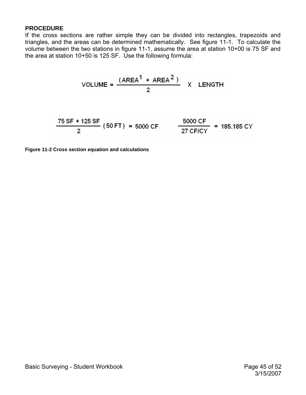### <span id="page-44-0"></span>**PROCEDURE**

If the cross sections are rather simple they can be divided into rectangles, trapezoids and triangles, and the areas can be determined mathematically. See figure 11-1. To calculate the volume between the two stations in figure 11-1, assume the area at station 10+00 is 75 SF and the area at station 10+50 is 125 SF. Use the following formula:

$$
VOLUME = \frac{(AREA^{1} + AREA^{2})}{2} \times LENGTH
$$

$$
\frac{75 \text{ SF} + 125 \text{ SF}}{2} (50 \text{ FT}) = 5000 \text{ CF} \qquad \frac{5000 \text{ CF}}{27 \text{ CF/CY}} = 185.185 \text{ CY}
$$

**Figure 11-2 Cross section equation and calculations**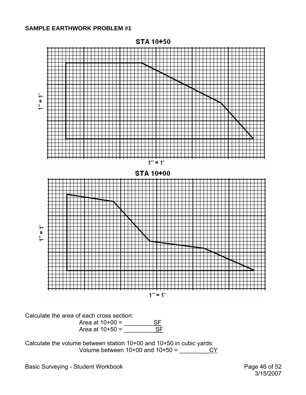### <span id="page-45-0"></span>**SAMPLE EARTHWORK PROBLEM #1**



Calculate the area of each cross section:



Calculate the volume between station 10+00 and 10+50 in cubic yards: Volume between 10+00 and 10+50 = \_\_\_\_\_\_\_\_\_CY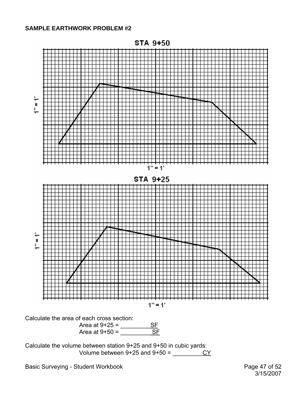### <span id="page-46-0"></span>**SAMPLE EARTHWORK PROBLEM #2**



Calculate the volume between station 9+25 and 9+50 in cubic yards: Volume between 9+25 and 9+50 =  $\frac{CY}{}$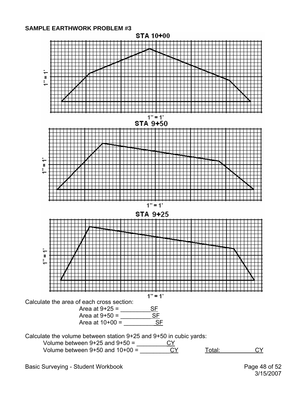### <span id="page-47-0"></span>**SAMPLE EARTHWORK PROBLEM #3**

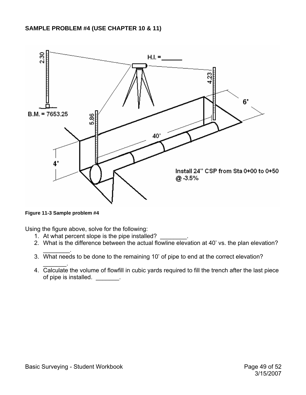<span id="page-48-0"></span>

**Figure 11-3 Sample problem #4** 

 $\mathcal{L}=\mathcal{L}$ 

Using the figure above, solve for the following:

- 1. At what percent slope is the pipe installed?
- 2. What is the difference between the actual flowline elevation at 40' vs. the plan elevation?
- 3. What needs to be done to the remaining 10' of pipe to end at the correct elevation?
- $\overline{\phantom{a}}$  . The set of  $\overline{\phantom{a}}$ 4. Calculate the volume of flowfill in cubic yards required to fill the trench after the last piece of pipe is installed. \_\_\_\_\_\_\_.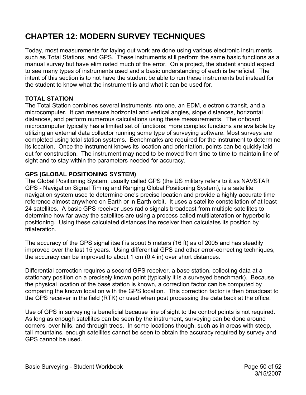# <span id="page-49-0"></span>**CHAPTER 12: MODERN SURVEY TECHNIQUES**

Today, most measurements for laying out work are done using various electronic instruments such as Total Stations, and GPS. These instruments still perform the same basic functions as a manual survey but have eliminated much of the error. On a project, the student should expect to see many types of instruments used and a basic understanding of each is beneficial. The intent of this section is to not have the student be able to run these instruments but instead for the student to know what the instrument is and what it can be used for.

## **TOTAL STATION**

The Total Station combines several instruments into one, an EDM, electronic transit, and a microcomputer. It can measure horizontal and vertical angles, slope distances, horizontal distances, and perform numerous calculations using these measurements. The onboard microcomputer typically has a limited set of functions; more complex functions are available by utilizing an external data collector running some type of surveying software. Most surveys are completed using total station systems. Benchmarks are required for the instrument to determine its location. Once the instrument knows its location and orientation, points can be quickly laid out for construction. The instrument may need to be moved from time to time to maintain line of sight and to stay within the parameters needed for accuracy.

## **GPS (GLOBAL POSITIONING SYSTEM)**

The Global Positioning System, usually called GPS (the US military refers to it as NAVSTAR GPS - Navigation Signal Timing and Ranging Global Positioning System), is a satellite navigation system used to determine one's precise location and provide a highly accurate time reference almost anywhere on Earth or in Earth orbit. It uses a satellite constellation of at least 24 satellites. A basic GPS receiver uses radio signals broadcast from multiple satellites to determine how far away the satellites are using a process called multilateration or hyperbolic positioning. Using these calculated distances the receiver then calculates its position by trilateration.

The accuracy of the GPS signal itself is about 5 meters (16 ft) as of 2005 and has steadily improved over the last 15 years. Using differential GPS and other error-correcting techniques, the accuracy can be improved to about 1 cm (0.4 in) over short distances.

Differential correction requires a second GPS receiver, a base station, collecting data at a stationary position on a precisely known point (typically it is a surveyed benchmark). Because the physical location of the base station is known, a correction factor can be computed by comparing the known location with the GPS location. This correction factor is then broadcast to the GPS receiver in the field (RTK) or used when post processing the data back at the office.

Use of GPS in surveying is beneficial because line of sight to the control points is not required. As long as enough satellites can be seen by the instrument, surveying can be done around corners, over hills, and through trees. In some locations though, such as in areas with steep, tall mountains, enough satellites cannot be seen to obtain the accuracy required by survey and GPS cannot be used.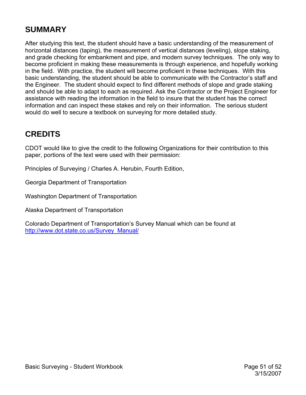# <span id="page-50-0"></span>**SUMMARY**

After studying this text, the student should have a basic understanding of the measurement of horizontal distances (taping), the measurement of vertical distances (leveling), slope staking, and grade checking for embankment and pipe, and modern survey techniques. The only way to become proficient in making these measurements is through experience, and hopefully working in the field. With practice, the student will become proficient in these techniques. With this basic understanding, the student should be able to communicate with the Contractor's staff and the Engineer. The student should expect to find different methods of slope and grade staking and should be able to adapt to each as required. Ask the Contractor or the Project Engineer for assistance with reading the information in the field to insure that the student has the correct information and can inspect these stakes and rely on their information. The serious student would do well to secure a textbook on surveying for more detailed study.

# **CREDITS**

CDOT would like to give the credit to the following Organizations for their contribution to this paper, portions of the text were used with their permission:

Principles of Surveying / Charles A. Herubin, Fourth Edition,

Georgia Department of Transportation

Washington Department of Transportation

Alaska Department of Transportation

Colorado Department of Transportation's Survey Manual which can be found at [http://www.dot.state.co.us/Survey\\_Manual/](http://www.dot.state.co.us/Survey_Manual/)